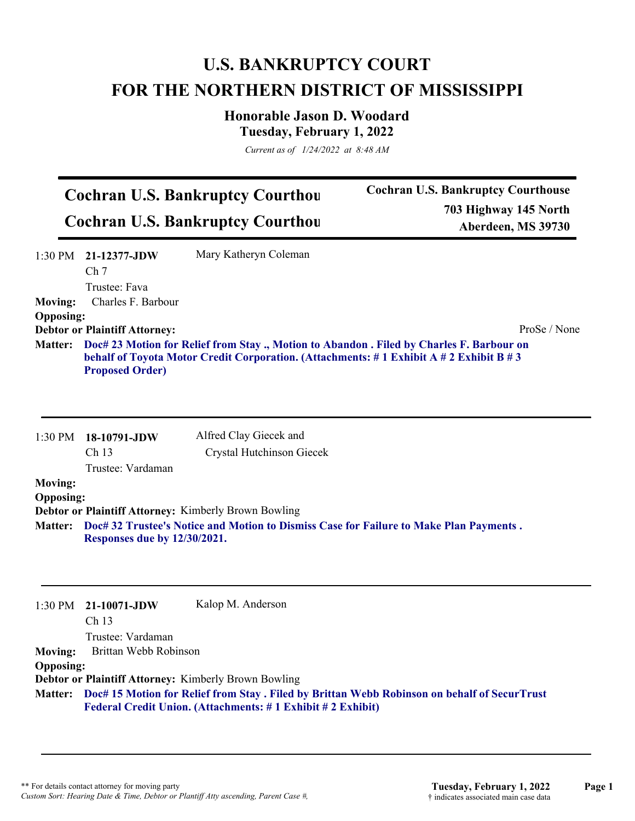## **U.S. BANKRUPTCY COURT FOR THE NORTHERN DISTRICT OF MISSISSIPPI**

**Honorable Jason D. Woodard Tuesday, February 1, 2022**

*Current as of 1/24/2022 at 8:48 AM*

| <b>Cochran U.S. Bankruptcy Courthou</b> |  |
|-----------------------------------------|--|
| <b>Cochran U.S. Bankruptcy Courthou</b> |  |

**Cochran U.S. Bankruptcy Courthouse 703 Highway 145 North Aberdeen, MS 39730**

|                  | $1:30 \text{ PM}$ 21-12377-JDW<br>Ch <sub>7</sub> | Mary Katheryn Coleman                                                                                                                                                                      |              |
|------------------|---------------------------------------------------|--------------------------------------------------------------------------------------------------------------------------------------------------------------------------------------------|--------------|
|                  | Trustee: Fava                                     |                                                                                                                                                                                            |              |
| <b>Moving:</b>   | Charles F. Barbour                                |                                                                                                                                                                                            |              |
| <b>Opposing:</b> |                                                   |                                                                                                                                                                                            |              |
|                  | <b>Debtor or Plaintiff Attorney:</b>              |                                                                                                                                                                                            | ProSe / None |
|                  | <b>Proposed Order)</b>                            | Matter: Doc# 23 Motion for Relief from Stay ., Motion to Abandon . Filed by Charles F. Barbour on<br>behalf of Toyota Motor Credit Corporation. (Attachments: #1 Exhibit A #2 Exhibit B #3 |              |
|                  |                                                   |                                                                                                                                                                                            |              |
|                  |                                                   |                                                                                                                                                                                            |              |

|                  | 1:30 PM 18-10791-JDW         | Alfred Clay Giecek and                                                                        |
|------------------|------------------------------|-----------------------------------------------------------------------------------------------|
|                  | Ch <sub>13</sub>             | Crystal Hutchinson Giecek                                                                     |
|                  | Trustee: Vardaman            |                                                                                               |
| <b>Moving:</b>   |                              |                                                                                               |
| <b>Opposing:</b> |                              |                                                                                               |
|                  |                              | <b>Debtor or Plaintiff Attorney: Kimberly Brown Bowling</b>                                   |
|                  |                              | Matter: Doc#32 Trustee's Notice and Motion to Dismiss Case for Failure to Make Plan Payments. |
|                  | Responses due by 12/30/2021. |                                                                                               |

|                  | $1:30$ PM $21-10071$ -JDW | Kalop M. Anderson                                                                                   |
|------------------|---------------------------|-----------------------------------------------------------------------------------------------------|
|                  | Ch <sub>13</sub>          |                                                                                                     |
|                  | Trustee: Vardaman         |                                                                                                     |
| <b>Moving:</b>   | Brittan Webb Robinson     |                                                                                                     |
| <b>Opposing:</b> |                           |                                                                                                     |
|                  |                           | <b>Debtor or Plaintiff Attorney: Kimberly Brown Bowling</b>                                         |
|                  |                           | Matter: Doc# 15 Motion for Relief from Stay. Filed by Brittan Webb Robinson on behalf of SecurTrust |
|                  |                           | Federal Credit Union. (Attachments: #1 Exhibit #2 Exhibit)                                          |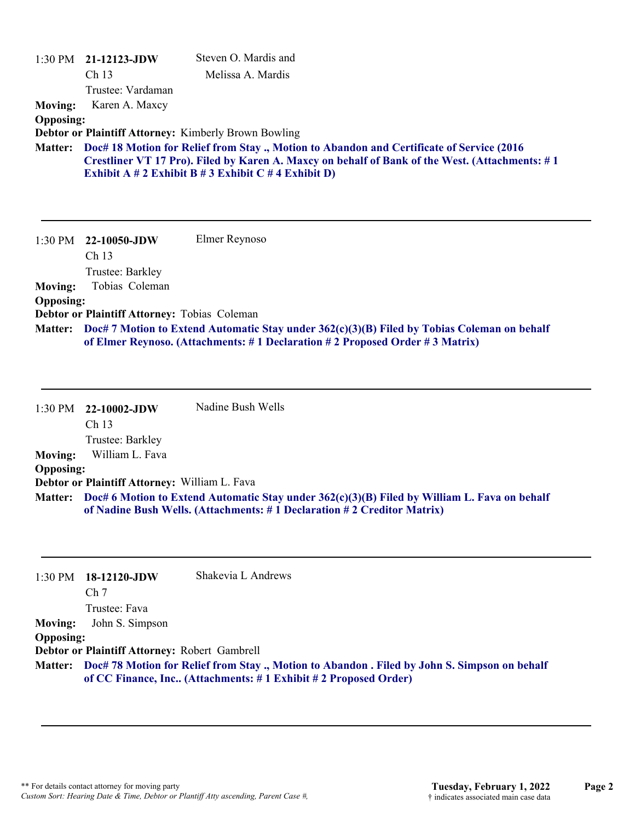|                                                      | $1:30$ PM $21-12123$ -JDW<br>Ch <sub>13</sub><br>Trustee: Vardaman                                                             | Steven O. Mardis and<br>Melissa A. Mardis                                                                                                                                                                                                                                                                         |
|------------------------------------------------------|--------------------------------------------------------------------------------------------------------------------------------|-------------------------------------------------------------------------------------------------------------------------------------------------------------------------------------------------------------------------------------------------------------------------------------------------------------------|
| <b>Moving:</b><br><b>Opposing:</b><br><b>Matter:</b> | Karen A. Maxcy                                                                                                                 | <b>Debtor or Plaintiff Attorney: Kimberly Brown Bowling</b><br>Doc# 18 Motion for Relief from Stay., Motion to Abandon and Certificate of Service (2016<br>Crestliner VT 17 Pro). Filed by Karen A. Maxcy on behalf of Bank of the West. (Attachments: #1<br>Exhibit A # 2 Exhibit B # 3 Exhibit C # 4 Exhibit D) |
| <b>Moving:</b><br><b>Opposing:</b>                   | 1:30 PM 22-10050-JDW<br>Ch <sub>13</sub><br>Trustee: Barkley<br>Tobias Coleman<br>Debtor or Plaintiff Attorney: Tobias Coleman | Elmer Reynoso<br>Matter: Doc# 7 Motion to Extend Automatic Stay under 362(c)(3)(B) Filed by Tobias Coleman on behalf                                                                                                                                                                                              |
|                                                      |                                                                                                                                | of Elmer Reynoso. (Attachments: #1 Declaration #2 Proposed Order #3 Matrix)                                                                                                                                                                                                                                       |

|                  | 1:30 PM 22-10002-JDW                          | Nadine Bush Wells                                                                                                                                                              |
|------------------|-----------------------------------------------|--------------------------------------------------------------------------------------------------------------------------------------------------------------------------------|
|                  | Ch <sub>13</sub>                              |                                                                                                                                                                                |
|                  | Trustee: Barkley                              |                                                                                                                                                                                |
| <b>Moving:</b>   | William L. Fava                               |                                                                                                                                                                                |
| <b>Opposing:</b> |                                               |                                                                                                                                                                                |
|                  | Debtor or Plaintiff Attorney: William L. Fava |                                                                                                                                                                                |
|                  |                                               | Matter: Doc# 6 Motion to Extend Automatic Stay under 362(c)(3)(B) Filed by William L. Fava on behalf<br>of Nadine Bush Wells. (Attachments: #1 Declaration #2 Creditor Matrix) |

| 1:30 PM          | 18-12120-JDW                                  | Shakevia L Andrews                                                                                                                                                    |
|------------------|-----------------------------------------------|-----------------------------------------------------------------------------------------------------------------------------------------------------------------------|
|                  | Ch <sub>7</sub>                               |                                                                                                                                                                       |
|                  | Trustee: Fava                                 |                                                                                                                                                                       |
| <b>Moving:</b>   | John S. Simpson                               |                                                                                                                                                                       |
| <b>Opposing:</b> |                                               |                                                                                                                                                                       |
|                  | Debtor or Plaintiff Attorney: Robert Gambrell |                                                                                                                                                                       |
|                  |                                               | Matter: Doc# 78 Motion for Relief from Stay., Motion to Abandon. Filed by John S. Simpson on behalf<br>of CC Finance, Inc (Attachments: #1 Exhibit #2 Proposed Order) |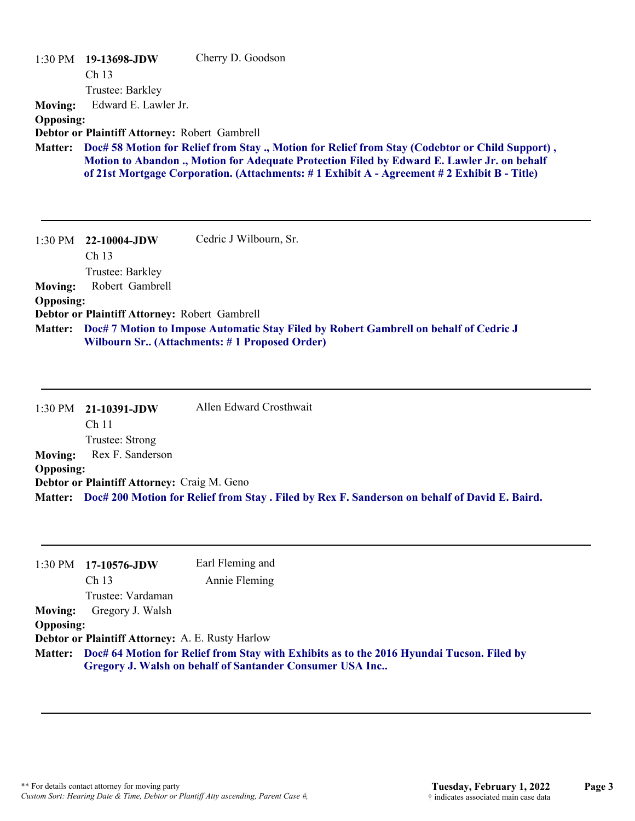| $1:30$ PM        | 19-13698-JDW<br>Ch <sub>13</sub>              | Cherry D. Goodson                                                                               |
|------------------|-----------------------------------------------|-------------------------------------------------------------------------------------------------|
|                  | Trustee: Barkley                              |                                                                                                 |
| <b>Moving:</b>   | Edward E. Lawler Jr.                          |                                                                                                 |
| <b>Opposing:</b> |                                               |                                                                                                 |
|                  | Debtor or Plaintiff Attorney: Robert Gambrell |                                                                                                 |
| <b>Matter:</b>   |                                               | Doc# 58 Motion for Relief from Stay ., Motion for Relief from Stay (Codebtor or Child Support), |
|                  |                                               | Motion to Abandon ., Motion for Adequate Protection Filed by Edward E. Lawler Jr. on behalf     |
|                  |                                               | of 21st Mortgage Corporation. (Attachments: #1 Exhibit A - Agreement #2 Exhibit B - Title)      |
|                  |                                               |                                                                                                 |
|                  |                                               |                                                                                                 |
|                  |                                               |                                                                                                 |
|                  |                                               |                                                                                                 |
| 1:30 PM          | 22-10004-JDW                                  | Cedric J Wilbourn, Sr.                                                                          |
|                  | Ch <sub>13</sub>                              |                                                                                                 |
|                  | Trustee: Barkley                              |                                                                                                 |
| <b>Moving:</b>   | Robert Gambrell                               |                                                                                                 |
| <b>Opposing:</b> |                                               |                                                                                                 |
|                  | Debtor or Plaintiff Attorney: Robert Gambrell |                                                                                                 |

|                  | 1:30 PM 21-10391-JDW                               | Allen Edward Crosthwait                                                                              |
|------------------|----------------------------------------------------|------------------------------------------------------------------------------------------------------|
|                  | Ch 11                                              |                                                                                                      |
|                  | Trustee: Strong                                    |                                                                                                      |
|                  | <b>Moving:</b> Rex F. Sanderson                    |                                                                                                      |
| <b>Opposing:</b> |                                                    |                                                                                                      |
|                  | <b>Debtor or Plaintiff Attorney: Craig M. Geno</b> |                                                                                                      |
|                  |                                                    | Matter: Doc# 200 Motion for Relief from Stay. Filed by Rex F. Sanderson on behalf of David E. Baird. |

|                  | $1:30 \text{ PM}$ 17-10576-JDW                   | Earl Fleming and |                                                                                                   |
|------------------|--------------------------------------------------|------------------|---------------------------------------------------------------------------------------------------|
|                  | Ch <sub>13</sub>                                 | Annie Fleming    |                                                                                                   |
|                  | Trustee: Vardaman                                |                  |                                                                                                   |
| <b>Moving:</b>   | Gregory J. Walsh                                 |                  |                                                                                                   |
| <b>Opposing:</b> |                                                  |                  |                                                                                                   |
|                  | Debtor or Plaintiff Attorney: A. E. Rusty Harlow |                  |                                                                                                   |
|                  |                                                  |                  | Matter: Doc# 64 Motion for Relief from Stay with Exhibits as to the 2016 Hyundai Tucson. Filed by |
|                  |                                                  |                  | Gregory J. Walsh on behalf of Santander Consumer USA Inc                                          |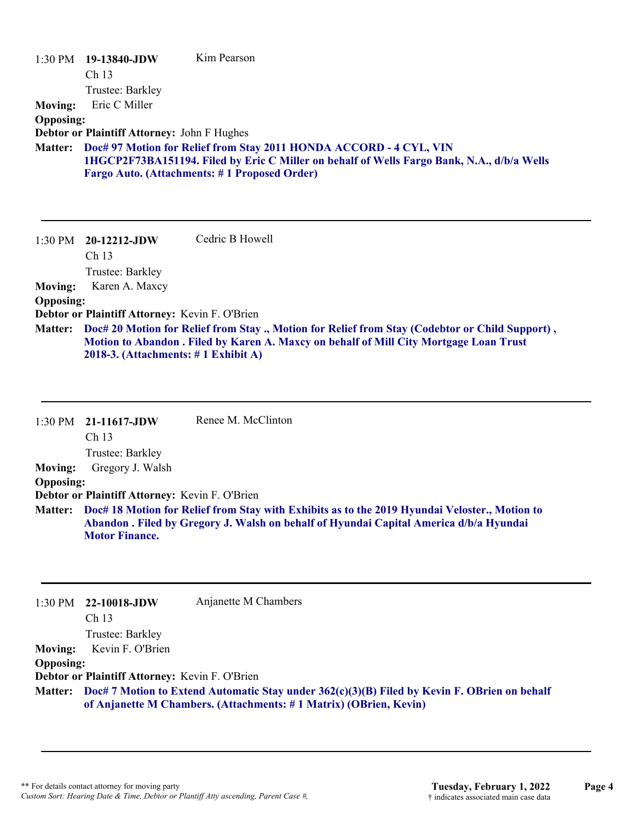|                  | 1:30 PM 19-13840-JDW                           | Kim Pearson                                                                                                                                                                               |
|------------------|------------------------------------------------|-------------------------------------------------------------------------------------------------------------------------------------------------------------------------------------------|
|                  | Ch <sub>13</sub>                               |                                                                                                                                                                                           |
|                  | Trustee: Barkley                               |                                                                                                                                                                                           |
| <b>Moving:</b>   | Eric C Miller                                  |                                                                                                                                                                                           |
| <b>Opposing:</b> |                                                |                                                                                                                                                                                           |
|                  | Debtor or Plaintiff Attorney: John F Hughes    |                                                                                                                                                                                           |
| <b>Matter:</b>   |                                                | Doc# 97 Motion for Relief from Stay 2011 HONDA ACCORD - 4 CYL, VIN                                                                                                                        |
|                  |                                                | 1HGCP2F73BA151194. Filed by Eric C Miller on behalf of Wells Fargo Bank, N.A., d/b/a Wells                                                                                                |
|                  |                                                | Fargo Auto. (Attachments: #1 Proposed Order)                                                                                                                                              |
|                  |                                                |                                                                                                                                                                                           |
|                  |                                                |                                                                                                                                                                                           |
|                  |                                                |                                                                                                                                                                                           |
| $1:30$ PM        | 20-12212-JDW                                   | Cedric B Howell                                                                                                                                                                           |
|                  | Ch <sub>13</sub>                               |                                                                                                                                                                                           |
|                  | Trustee: Barkley                               |                                                                                                                                                                                           |
| <b>Moving:</b>   | Karen A. Maxcy                                 |                                                                                                                                                                                           |
| <b>Opposing:</b> |                                                |                                                                                                                                                                                           |
|                  | Debtor or Plaintiff Attorney: Kevin F. O'Brien |                                                                                                                                                                                           |
| <b>Matter:</b>   | 2018-3. (Attachments: $\#$ 1 Exhibit A)        | Doc# 20 Motion for Relief from Stay ., Motion for Relief from Stay (Codebtor or Child Support),<br>Motion to Abandon . Filed by Karen A. Maxcy on behalf of Mill City Mortgage Loan Trust |

|                       | Renee M. McClinton                                                                                                                                                                              |
|-----------------------|-------------------------------------------------------------------------------------------------------------------------------------------------------------------------------------------------|
| Ch <sub>13</sub>      |                                                                                                                                                                                                 |
| Trustee: Barkley      |                                                                                                                                                                                                 |
| Gregory J. Walsh      |                                                                                                                                                                                                 |
|                       |                                                                                                                                                                                                 |
|                       |                                                                                                                                                                                                 |
| <b>Motor Finance.</b> | Matter: Doc# 18 Motion for Relief from Stay with Exhibits as to the 2019 Hyundai Veloster., Motion to<br>Abandon . Filed by Gregory J. Walsh on behalf of Hyundai Capital America d/b/a Hyundai |
|                       | 1:30 PM 21-11617-JDW<br><b>Opposing:</b><br>Debtor or Plaintiff Attorney: Kevin F. O'Brien                                                                                                      |

|                  | 1:30 PM 22-10018-JDW                                                                                                                                                      | Anjanette M Chambers |
|------------------|---------------------------------------------------------------------------------------------------------------------------------------------------------------------------|----------------------|
|                  | Ch <sub>13</sub>                                                                                                                                                          |                      |
|                  | Trustee: Barkley                                                                                                                                                          |                      |
| Moving:          | Kevin F. O'Brien                                                                                                                                                          |                      |
| <b>Opposing:</b> |                                                                                                                                                                           |                      |
|                  | Debtor or Plaintiff Attorney: Kevin F. O'Brien                                                                                                                            |                      |
|                  | Matter: Doc# 7 Motion to Extend Automatic Stay under 362(c)(3)(B) Filed by Kevin F. OBrien on behalf<br>of Anjanette M Chambers. (Attachments: #1 Matrix) (OBrien, Kevin) |                      |